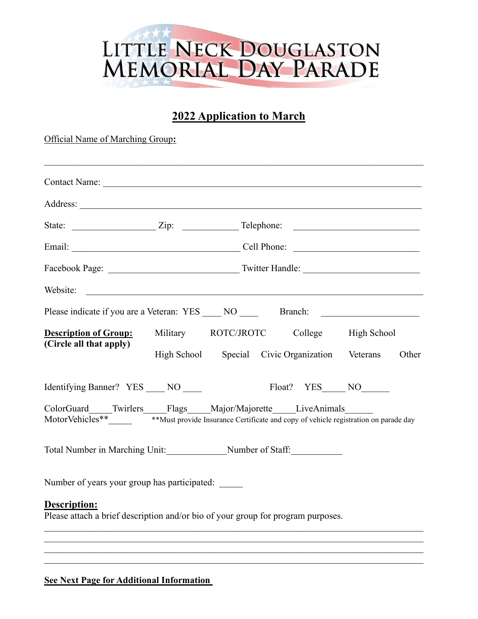## LITTLE NECK DOUGLASTON<br>MEMORIAL DAY PARADE

## **2022 Application to March**

Official Name of Marching Group**:**

| Website:                                                                                                                                                                                 |                                                 |  |  |  |               |       |
|------------------------------------------------------------------------------------------------------------------------------------------------------------------------------------------|-------------------------------------------------|--|--|--|---------------|-------|
| Please indicate if you are a Veteran: YES ____ NO _____ Branch: ________________                                                                                                         |                                                 |  |  |  |               |       |
| <b>Description of Group:</b><br>(Circle all that apply)                                                                                                                                  | Military ROTC/JROTC College High School         |  |  |  |               |       |
|                                                                                                                                                                                          | High School Special Civic Organization Veterans |  |  |  |               | Other |
| Identifying Banner? YES NO                                                                                                                                                               |                                                 |  |  |  | Float? YES NO |       |
| ColorGuard____Twirlers____Flags____Major/Majorette____LiveAnimals_<br>MotorVehicles** <b>Where Washi</b> n with the insurance Certificate and copy of vehicle registration on parade day |                                                 |  |  |  |               |       |
|                                                                                                                                                                                          |                                                 |  |  |  |               |       |
| Number of years your group has participated:                                                                                                                                             |                                                 |  |  |  |               |       |
| Description:<br>Please attach a brief description and/or bio of your group for program purposes.                                                                                         |                                                 |  |  |  |               |       |
|                                                                                                                                                                                          |                                                 |  |  |  |               |       |

## **See Next Page for Additional Information**